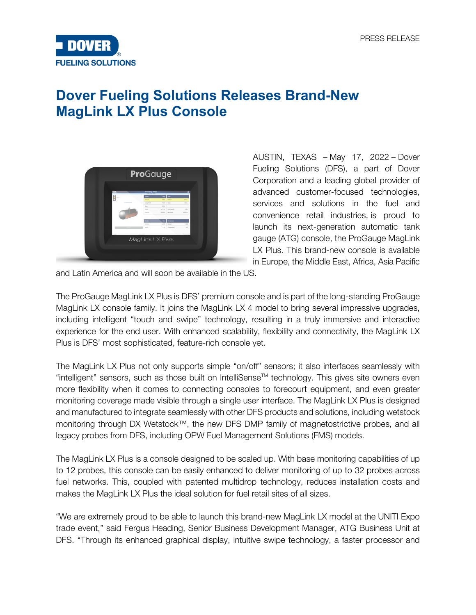

## **Dover Fueling Solutions Releases Brand-New MagLink LX Plus Console**



AUSTIN, TEXAS – May 17, 2022 – Dover Fueling Solutions (DFS), a part of Dover Corporation and a leading global provider of advanced customer-focused technologies, services and solutions in the fuel and convenience retail industries, is proud to launch its next-generation automatic tank gauge (ATG) console, the ProGauge MagLink LX Plus. This brand-new console is available in Europe, the Middle East, Africa, Asia Pacific

and Latin America and will soon be available in the US.

The ProGauge MagLink LX Plus is DFS' premium console and is part of the long-standing ProGauge MagLink LX console family. It joins the MagLink LX 4 model to bring several impressive upgrades, including intelligent "touch and swipe" technology, resulting in a truly immersive and interactive experience for the end user. With enhanced scalability, flexibility and connectivity, the MagLink LX Plus is DFS' most sophisticated, feature-rich console yet.

The MagLink LX Plus not only supports simple "on/off" sensors; it also interfaces seamlessly with "intelligent" sensors, such as those built on IntelliSense™ technology. This gives site owners even more flexibility when it comes to connecting consoles to forecourt equipment, and even greater monitoring coverage made visible through a single user interface. The MagLink LX Plus is designed and manufactured to integrate seamlessly with other DFS products and solutions, including wetstock monitoring through DX Wetstock™, the new DFS DMP family of magnetostrictive probes, and all legacy probes from DFS, including OPW Fuel Management Solutions (FMS) models.

The MagLink LX Plus is a console designed to be scaled up. With base monitoring capabilities of up to 12 probes, this console can be easily enhanced to deliver monitoring of up to 32 probes across fuel networks. This, coupled with patented multidrop technology, reduces installation costs and makes the MagLink LX Plus the ideal solution for fuel retail sites of all sizes.

"We are extremely proud to be able to launch this brand-new MagLink LX model at the UNITI Expo trade event," said Fergus Heading, Senior Business Development Manager, ATG Business Unit at DFS. "Through its enhanced graphical display, intuitive swipe technology, a faster processor and